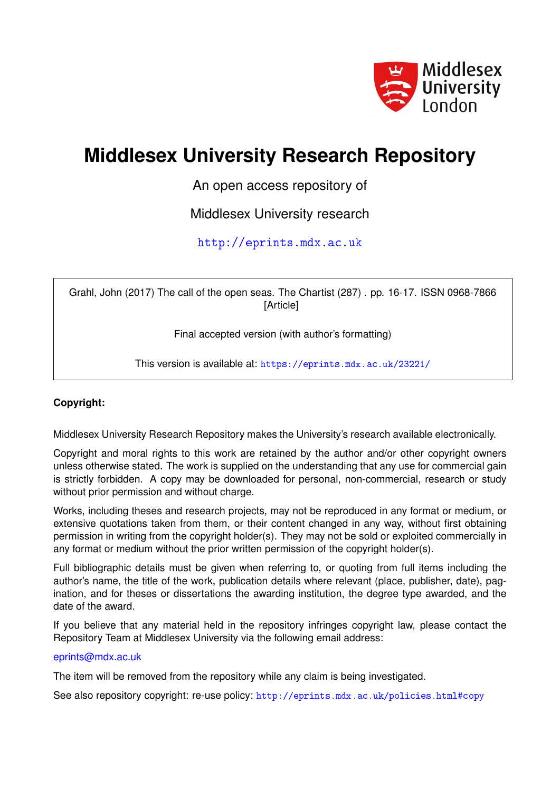

# **Middlesex University Research Repository**

An open access repository of

Middlesex University research

<http://eprints.mdx.ac.uk>

Grahl, John (2017) The call of the open seas. The Chartist (287) . pp. 16-17. ISSN 0968-7866 [Article]

Final accepted version (with author's formatting)

This version is available at: <https://eprints.mdx.ac.uk/23221/>

# **Copyright:**

Middlesex University Research Repository makes the University's research available electronically.

Copyright and moral rights to this work are retained by the author and/or other copyright owners unless otherwise stated. The work is supplied on the understanding that any use for commercial gain is strictly forbidden. A copy may be downloaded for personal, non-commercial, research or study without prior permission and without charge.

Works, including theses and research projects, may not be reproduced in any format or medium, or extensive quotations taken from them, or their content changed in any way, without first obtaining permission in writing from the copyright holder(s). They may not be sold or exploited commercially in any format or medium without the prior written permission of the copyright holder(s).

Full bibliographic details must be given when referring to, or quoting from full items including the author's name, the title of the work, publication details where relevant (place, publisher, date), pagination, and for theses or dissertations the awarding institution, the degree type awarded, and the date of the award.

If you believe that any material held in the repository infringes copyright law, please contact the Repository Team at Middlesex University via the following email address:

#### [eprints@mdx.ac.uk](mailto:eprints@mdx.ac.uk)

The item will be removed from the repository while any claim is being investigated.

See also repository copyright: re-use policy: <http://eprints.mdx.ac.uk/policies.html#copy>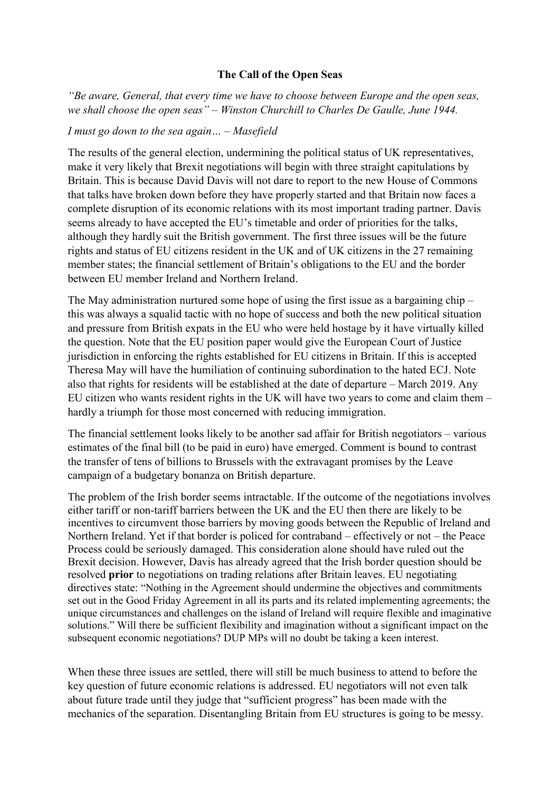## **The Call of the Open Seas**

*"Be aware, General, that every time we have to choose between Europe and the open seas, we shall choose the open seas" – Winston Churchill to Charles De Gaulle, June 1944.*

## *I must go down to the sea again… – Masefield*

The results of the general election, undermining the political status of UK representatives, make it very likely that Brexit negotiations will begin with three straight capitulations by Britain. This is because David Davis will not dare to report to the new House of Commons that talks have broken down before they have properly started and that Britain now faces a complete disruption of its economic relations with its most important trading partner. Davis seems already to have accepted the EU's timetable and order of priorities for the talks, although they hardly suit the British government. The first three issues will be the future rights and status of EU citizens resident in the UK and of UK citizens in the 27 remaining member states; the financial settlement of Britain's obligations to the EU and the border between EU member Ireland and Northern Ireland.

The May administration nurtured some hope of using the first issue as a bargaining chip – this was always a squalid tactic with no hope of success and both the new political situation and pressure from British expats in the EU who were held hostage by it have virtually killed the question. Note that the EU position paper would give the European Court of Justice jurisdiction in enforcing the rights established for EU citizens in Britain. If this is accepted Theresa May will have the humiliation of continuing subordination to the hated ECJ. Note also that rights for residents will be established at the date of departure – March 2019. Any EU citizen who wants resident rights in the UK will have two years to come and claim them – hardly a triumph for those most concerned with reducing immigration.

The financial settlement looks likely to be another sad affair for British negotiators – various estimates of the final bill (to be paid in euro) have emerged. Comment is bound to contrast the transfer of tens of billions to Brussels with the extravagant promises by the Leave campaign of a budgetary bonanza on British departure.

The problem of the Irish border seems intractable. If the outcome of the negotiations involves either tariff or non-tariff barriers between the UK and the EU then there are likely to be incentives to circumvent those barriers by moving goods between the Republic of Ireland and Northern Ireland. Yet if that border is policed for contraband – effectively or not – the Peace Process could be seriously damaged. This consideration alone should have ruled out the Brexit decision. However, Davis has already agreed that the Irish border question should be resolved **prior** to negotiations on trading relations after Britain leaves. EU negotiating directives state: "Nothing in the Agreement should undermine the objectives and commitments set out in the Good Friday Agreement in all its parts and its related implementing agreements; the unique circumstances and challenges on the island of Ireland will require flexible and imaginative solutions." Will there be sufficient flexibility and imagination without a significant impact on the subsequent economic negotiations? DUP MPs will no doubt be taking a keen interest.

When these three issues are settled, there will still be much business to attend to before the key question of future economic relations is addressed. EU negotiators will not even talk about future trade until they judge that "sufficient progress" has been made with the mechanics of the separation. Disentangling Britain from EU structures is going to be messy.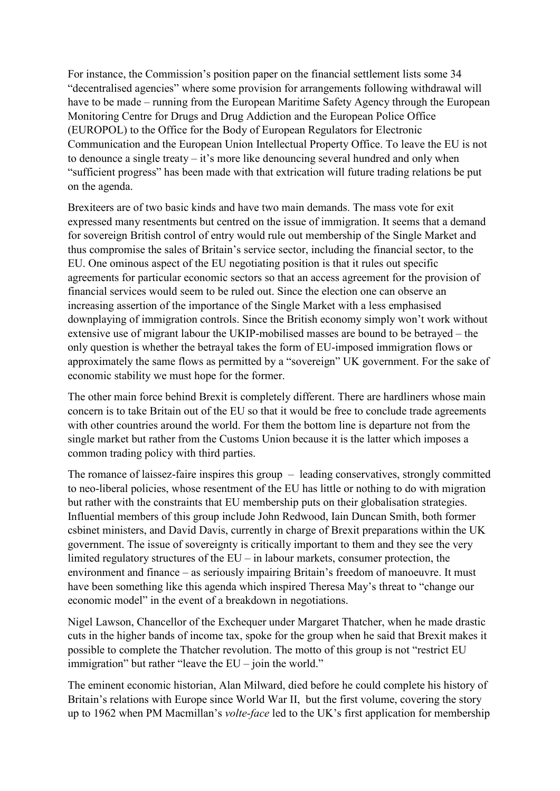For instance, the Commission's position paper on the financial settlement lists some 34 "decentralised agencies" where some provision for arrangements following withdrawal will have to be made – running from the European Maritime Safety Agency through the European Monitoring Centre for Drugs and Drug Addiction and the European Police Office (EUROPOL) to the Office for the Body of European Regulators for Electronic Communication and the European Union Intellectual Property Office. To leave the EU is not to denounce a single treaty – it's more like denouncing several hundred and only when "sufficient progress" has been made with that extrication will future trading relations be put on the agenda.

Brexiteers are of two basic kinds and have two main demands. The mass vote for exit expressed many resentments but centred on the issue of immigration. It seems that a demand for sovereign British control of entry would rule out membership of the Single Market and thus compromise the sales of Britain's service sector, including the financial sector, to the EU. One ominous aspect of the EU negotiating position is that it rules out specific agreements for particular economic sectors so that an access agreement for the provision of financial services would seem to be ruled out. Since the election one can observe an increasing assertion of the importance of the Single Market with a less emphasised downplaying of immigration controls. Since the British economy simply won't work without extensive use of migrant labour the UKIP-mobilised masses are bound to be betrayed – the only question is whether the betrayal takes the form of EU-imposed immigration flows or approximately the same flows as permitted by a "sovereign" UK government. For the sake of economic stability we must hope for the former.

The other main force behind Brexit is completely different. There are hardliners whose main concern is to take Britain out of the EU so that it would be free to conclude trade agreements with other countries around the world. For them the bottom line is departure not from the single market but rather from the Customs Union because it is the latter which imposes a common trading policy with third parties.

The romance of laissez-faire inspires this group – leading conservatives, strongly committed to neo-liberal policies, whose resentment of the EU has little or nothing to do with migration but rather with the constraints that EU membership puts on their globalisation strategies. Influential members of this group include John Redwood, Iain Duncan Smith, both former csbinet ministers, and David Davis, currently in charge of Brexit preparations within the UK government. The issue of sovereignty is critically important to them and they see the very limited regulatory structures of the EU – in labour markets, consumer protection, the environment and finance – as seriously impairing Britain's freedom of manoeuvre. It must have been something like this agenda which inspired Theresa May's threat to "change our economic model" in the event of a breakdown in negotiations.

Nigel Lawson, Chancellor of the Exchequer under Margaret Thatcher, when he made drastic cuts in the higher bands of income tax, spoke for the group when he said that Brexit makes it possible to complete the Thatcher revolution. The motto of this group is not "restrict EU immigration" but rather "leave the EU – join the world."

The eminent economic historian, Alan Milward, died before he could complete his history of Britain's relations with Europe since World War II, but the first volume, covering the story up to 1962 when PM Macmillan's *volte-face* led to the UK's first application for membership